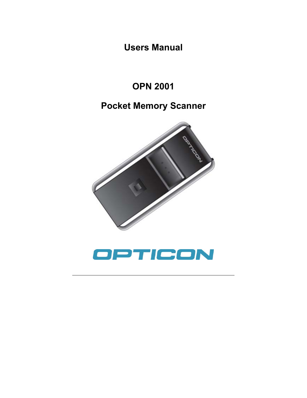**Users Manual** 

# **OPN 2001**

# **Pocket Memory Scanner**



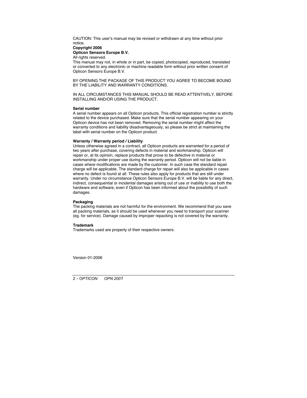CAUTION: This user's manual may be revised or withdrawn at any time without prior notice.

#### **Copyright 2006 Opticon Sensors Europe B.V.**

All rights reserved.

This manual may not, in whole or in part, be copied, photocopied, reproduced, translated or converted to any electronic or machine readable form without prior written consent of Opticon Sensors Europe B.V.

BY OPENING THE PACKAGE OF THIS PRODUCT YOU AGREE TO BECOME BOUND BY THE LIABILITY AND WARRANTY CONDITIONS.

IN ALL CIRCUMSTANCES THIS MANUAL SHOULD BE READ ATTENTIVELY, BEFORE INSTALLING AND/OR USING THE PRODUCT.

#### **Serial number**

A serial number appears on all Opticon products. This official registration number is strictly related to the device purchased. Make sure that the serial number appearing on your Opticon device has not been removed. Removing the serial number might affect the warranty conditions and liability disadvantageously, so please be strict at maintaining the label with serial number on the Opticon product.

#### **Warranty / Warranty period / Liability**

Unless otherwise agreed in a contract, all Opticon products are warranted for a period of two years after purchase, covering defects in material and workmanship. Opticon will repair or, at its opinion, replace products that prove to be defective in material or workmanship under proper use during the warranty period. Opticon will not be liable in cases where modifications are made by the customer. In such case the standard repair charge will be applicable. The standard charge for repair will also be applicable in cases where no defect is found at all. These rules also apply for products that are still under warranty. Under no circumstance Opticon Sensors Europe B.V. will be liable for any direct indirect, consequential or incidental damages arising out of use or inability to use both the hardware and software, even if Opticon has been informed about the possibility of such damages.

#### **Packaging**

The packing materials are not harmful for the environment. We recommend that you save all packing materials, as it should be used whenever you need to transport your scanner (eg. for service). Damage caused by improper repacking is not covered by the warranty.

#### **Trademark**

Trademarks used are property of their respective owners.

Version 01-2006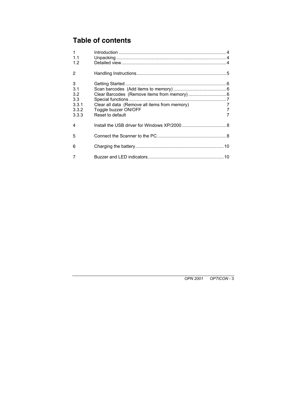## **Table of contents**

| $\mathbf{1}$   |                                               |        |
|----------------|-----------------------------------------------|--------|
| 1.1<br>1.2     |                                               |        |
| 2              |                                               |        |
| 3              |                                               |        |
| 3.1            |                                               |        |
| 3.2            |                                               |        |
| 3.3            |                                               |        |
| 3.3.1          | Clear all data (Remove all items from memory) | 7      |
| 3.3.2<br>3.3.3 | Toggle buzzer ON/OFF<br>Reset to default      | 7<br>7 |
|                |                                               |        |
| 4              |                                               |        |
| 5              |                                               |        |
| 6              |                                               |        |
| 7              |                                               |        |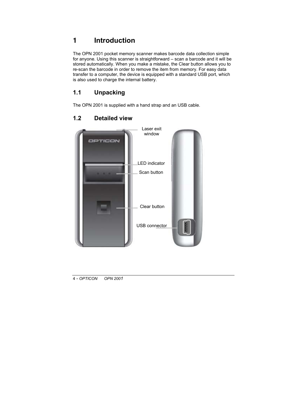## **1 Introduction**

The OPN 2001 pocket memory scanner makes barcode data collection simple for anyone. Using this scanner is straightforward – scan a barcode and it will be stored automatically. When you make a mistake, the Clear button allows you to re-scan the barcode in order to remove the item from memory. For easy data transfer to a computer, the device is equipped with a standard USB port, which is also used to charge the internal battery.

### **1.1 Unpacking**

The OPN 2001 is supplied with a hand strap and an USB cable.

## **1.2 Detailed view**

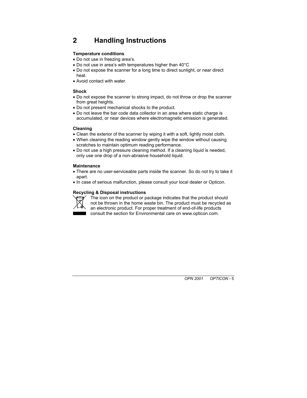## **2 Handling Instructions**

#### **Temperature conditions**

- Do not use in freezing area's.
- . Do not use in area's with temperatures higher than 40°C
- Do not expose the scanner for a long time to direct sunlight, or near direct heat.
- . Avoid contact with water

#### **Shock**

- ! Do not expose the scanner to strong impact, do not throw or drop the scanner from great heights.
- . Do not present mechanical shocks to the product.
- ! Do not leave the bar code data collector in an area where static charge is accumulated, or near devices where electromagnetic emission is generated.

#### **Cleaning**

- Clean the exterior of the scanner by wiping it with a soft, lightly moist cloth.
- When cleaning the reading window gently wipe the window without causing scratches to maintain optimum reading performance.
- Do not use a high pressure cleaning method. If a cleaning liquid is needed, only use one drop of a non-abrasive household liquid.

#### **Maintenance**

- There are no user-serviceable parts inside the scanner. So do not try to take it apart.
- ! In case of serious malfunction, please consult your local dealer or Opticon.

#### **Recycling & Disposal instructions**



The icon on the product or package indicates that the product should not be thrown in the home waste bin. The product must be recycled as an electronic product. For proper treatment of end-of-life products consult the section for Environmental care on www.opticon.com.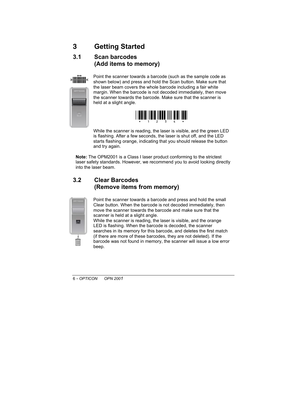## **3 Getting Started**

### **3.1 Scan barcodes (Add items to memory)**



Point the scanner towards a barcode (such as the sample code as shown below) and press and hold the Scan button. Make sure that the laser beam covers the whole barcode including a fair white margin. When the barcode is not decoded immediately, then move the scanner towards the barcode. Make sure that the scanner is held at a slight angle.



While the scanner is reading, the laser is visible, and the green LED is flashing. After a few seconds, the laser is shut off, and the LED starts flashing orange, indicating that you should release the button and try again.

**Note:** The OPM2001 is a Class I laser product conforming to the strictest laser safety standards. However, we recommend you to avoid looking directly into the laser beam.

### **3.2 Clear Barcodes (Remove items from memory)**



Point the scanner towards a barcode and press and hold the small Clear button. When the barcode is not decoded immediately, then move the scanner towards the barcode and make sure that the scanner is held at a slight angle.

While the scanner is reading, the laser is visible, and the orange LED is flashing. When the barcode is decoded, the scanner searches in its memory for this barcode, and deletes the first match (if there are more of these barcodes, they are not deleted). If the barcode was not found in memory, the scanner will issue a low error beep.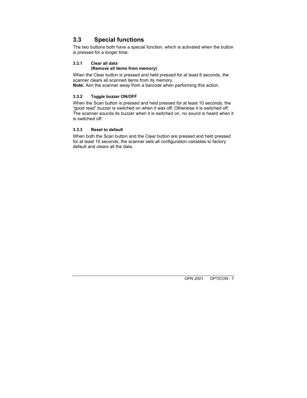### **3.3 Special functions**

The two buttons both have a special function, which is activated when the button is pressed for a longer time:

#### **3.3.1 Clear all data**

#### **(Remove all items from memory)**

When the Clear button is pressed and held pressed for at least 6 seconds, the scanner clears all scanned items from its memory.

**Note:** Aim the scanner *away* from a barcode when performing this action.

#### **3.3.2 Toggle buzzer ON/OFF**

When the Scan button is pressed and held pressed for at least 10 seconds, the "good read" buzzer is switched on when it was off; Otherwise it is switched off. The scanner sounds its buzzer when it is switched on, no sound is heard when it is switched off.

#### **3.3.3 Reset to default**

When both the Scan button and the Clear button are pressed and held pressed for at least 10 seconds, the scanner sets all configuration variables to factory default and clears all the data.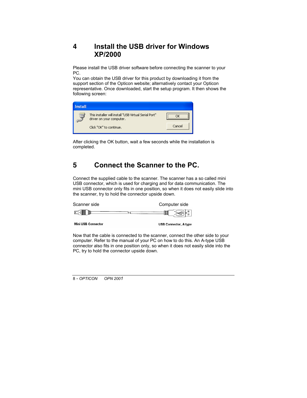### **4 Install the USB driver for Windows XP/2000**

Please install the USB driver software before connecting the scanner to your PC.

You can obtain the USB driver for this product by downloading it from the support section of the Opticon website; alternatively contact your Opticon representative. Once downloaded, start the setup program. It then shows the following screen:

| <b>Install</b> |                                                                                   |        |
|----------------|-----------------------------------------------------------------------------------|--------|
|                | This installer will install "USB Virtual Serial Port"<br>driver on your computer. |        |
|                | Click "OK" to continue.                                                           | Cancel |

After clicking the OK button, wait a few seconds while the installation is completed.

## **5 Connect the Scanner to the PC.**

Connect the supplied cable to the scanner. The scanner has a so called mini USB connector, which is used for charging and for data communication. The mini USB connector only fits in one position, so when it does not easily slide into the scanner, try to hold the connector upside down.

| Scanner side |   | Computer side |
|--------------|---|---------------|
| W            | ο | $\mathbb N$   |
|              |   |               |

**Mini USB Connector** 

**USB Connector, A type** 

Now that the cable is connected to the scanner, connect the other side to your computer. Refer to the manual of your PC on how to do this. An A-type USB connector also fits in one position only, so when it does not easily slide into the PC, try to hold the connector upside down.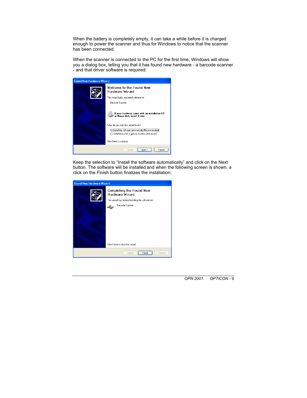When the battery is completely empty, it can take a while before it is charged enough to power the scanner and thus for Windows to notice that the scanner has been connected.

When the scanner is connected to the PC for the first time, Windows will show you a dialog box, telling you that it has found new hardware - a barcode scanner - and that driver software is required:



Keep the selection to "Install the software automatically" and click on the Next button. The software will be installed and when the following screen is shown, a click on the Finish button finalizes the installation:

| <b>Found New Hardware Wizard</b> |                                                                                                                                                                    |  |  |  |
|----------------------------------|--------------------------------------------------------------------------------------------------------------------------------------------------------------------|--|--|--|
|                                  | Completing the Found New<br>Hardware Wizard<br>The wizard has finished installing the software for:<br><b>Barcode Scanner</b><br>Click Finish to close the wizard. |  |  |  |
|                                  | Finish<br>Cancel<br>< Back                                                                                                                                         |  |  |  |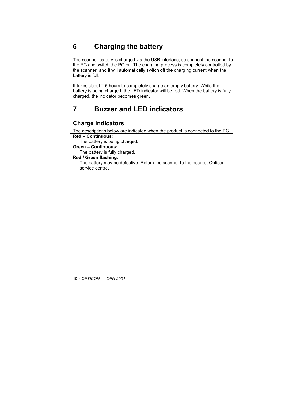## **6 Charging the battery**

The scanner battery is charged via the USB interface, so connect the scanner to the PC and switch the PC on. The charging process is completely controlled by the scanner, and it will automatically switch off the charging current when the battery is full.

It takes about 2.5 hours to completely charge an empty battery. While the battery is being charged, the LED indicator will be red. When the battery is fully charged, the indicator becomes green.

### **7 Buzzer and LED indicators**

### **Charge indicators**

The descriptions below are indicated when the product is connected to the PC.